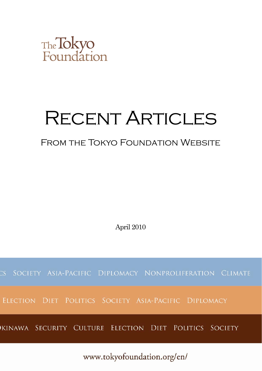

# RECENT ARTICLES

# FROM THE TOKYO FOUNDATION WEBSITE

April 2010

CS SOCIETY ASIA-PACIFIC DIPLOMACY NONPROLIFERATION CLIMATE

ELECTION DIET POLITICS SOCIETY ASIA-PACIFIC DIPLOMACY

KINAWA SECURITY CULTURE ELECTION DIET POLITICS SOCIETY

www.tokyofoundation.org/en/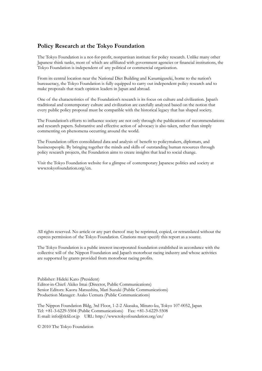## **Policy Research at the Tokyo Foundation**

The Tokyo Foundation is a not-for-profit, nonpartisan institute for policy research. Unlike many other Japanese think tanks, most of which are affiliated with government agencies or financial institutions, the Tokyo Foundation is independent of any political or commercial organization.

From its central location near the National Diet Building and Kasumigaseki, home to the nation's bureaucracy, the Tokyo Foundation is fully equipped to carry out independent policy research and to make proposals that reach opinion leaders in Japan and abroad.

One of the characteristics of the Foundation's research is its focus on culture and civilization. Japan's traditional and contemporary culture and civilization are carefully analyzed based on the notion that every public policy proposal must be compatible with the historical legacy that has shaped society.

The Foundation's efforts to influence society are not only through the publications of recommendations and research papers. Substantive and effective action of advocacy is also taken, rather than simply commenting on phenomena occurring around the world.

The Foundation offers consolidated data and analysis of benefit to policymakers, diplomats, and businesspeople. By bringing together the minds and skills of outstanding human resources through policy research projects, the Foundation aims to create insights that lead to social change.

Visit the Tokyo Foundation website for a glimpse of contemporary Japanese politics and society at www.tokyofoundation.org/en.

All rights reserved. No article or any part thereof may be reprinted, copied, or retranslated without the express permission of the Tokyo Foundation. Citations must specify this report as a source.

The Tokyo Foundation is a public interest incorporated foundation established in accordance with the collective will of the Nippon Foundation and Japan's motorboat racing industry and whose activities are supported by grants provided from motorboat racing profits.

Publisher: Hideki Kato (President) Editor-in-Chief: Akiko Imai (Director, Public Communications) Senior Editors: Kaoru Matsushita, Mari Suzuki (Public Communications) Production Manager: Asako Uemura (Public Communications)

The Nippon Foundation Bldg, 3rd Floor, 1-2-2 Akasaka, Minato-ku, Tokyo 107-0052, Japan Tel: +81-3-6229-5504 (Public Communications) Fax: +81-3-6229-5508 E-mail: info@tkfd.or.jp URL: http://www.tokyofoundation.org/en/

© 2010 The Tokyo Foundation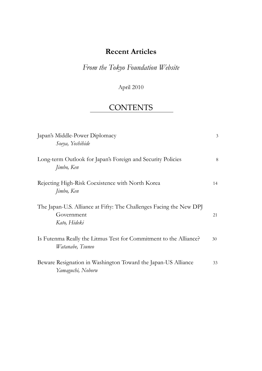# **Recent Articles**

*From the Tokyo Foundation Website* 

# April 2010

# **CONTENTS**

| Japan's Middle-Power Diplomacy<br>Soeya, Yoshihide                                                | 3  |
|---------------------------------------------------------------------------------------------------|----|
| Long-term Outlook for Japan's Foreign and Security Policies<br>Jimbo, Ken                         | 8  |
| Rejecting High-Risk Coexistence with North Korea<br>Jimbo, Ken                                    | 14 |
| The Japan-U.S. Alliance at Fifty: The Challenges Facing the New DPJ<br>Government<br>Kato, Hideki | 21 |
| Is Futenma Really the Litmus Test for Commitment to the Alliance?<br>Watanabe, Tsuneo             | 30 |
| Beware Resignation in Washington Toward the Japan-US Alliance<br>Yamaguchi, Noboru                | 33 |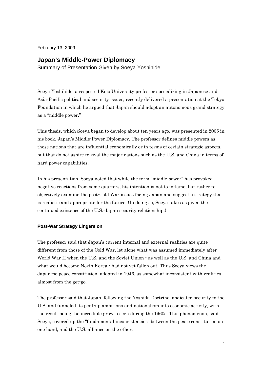February 13, 2009

## **Japan's Middle-Power Diplomacy**

Summary of Presentation Given by Soeya Yoshihide

Soeya Yoshihide, a respected Keio University professor specializing in Japanese and Asia-Pacific political and security issues, recently delivered a presentation at the Tokyo Foundation in which he argued that Japan should adopt an autonomous grand strategy as a "middle power."

This thesis, which Soeya began to develop about ten years ago, was presented in 2005 in his book, Japan's Middle-Power Diplomacy. The professor defines middle powers as those nations that are influential economically or in terms of certain strategic aspects, but that do not aspire to rival the major nations such as the U.S. and China in terms of hard power capabilities.

In his presentation, Soeya noted that while the term "middle power" has provoked negative reactions from some quarters, his intention is not to inflame, but rather to objectively examine the post-Cold War issues facing Japan and suggest a strategy that is realistic and appropriate for the future. (In doing so, Soeya takes as given the continued existence of the U.S.-Japan security relationship.)

#### **Post-War Strategy Lingers on**

The professor said that Japan's current internal and external realities are quite different from those of the Cold War, let alone what was assumed immediately after World War II when the U.S. and the Soviet Union - as well as the U.S. and China and what would become North Korea - had not yet fallen out. Thus Soeya views the Japanese peace constitution, adopted in 1946, as somewhat inconsistent with realities almost from the get-go.

The professor said that Japan, following the Yoshida Doctrine, abdicated security to the U.S. and funneled its pent-up ambitions and nationalism into economic activity, with the result being the incredible growth seen during the 1960s. This phenomenon, said Soeya, covered up the "fundamental inconsistencies" between the peace constitution on one hand, and the U.S. alliance on the other.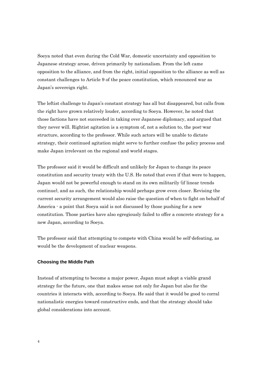Soeya noted that even during the Cold War, domestic uncertainty and opposition to Japanese strategy arose, driven primarily by nationalism. From the left came opposition to the alliance, and from the right, initial opposition to the alliance as well as constant challenges to Article 9 of the peace constitution, which renounced war as Japan's sovereign right.

The leftist challenge to Japan's constant strategy has all but disappeared, but calls from the right have grown relatively louder, according to Soeya. However, he noted that those factions have not succeeded in taking over Japanese diplomacy, and argued that they never will. Rightist agitation is a symptom of, not a solution to, the post-war structure, according to the professor. While such actors will be unable to dictate strategy, their continued agitation might serve to further confuse the policy process and make Japan irrelevant on the regional and world stages.

The professor said it would be difficult and unlikely for Japan to change its peace constitution and security treaty with the U.S. He noted that even if that were to happen, Japan would not be powerful enough to stand on its own militarily (if linear trends continue), and as such, the relationship would perhaps grow even closer. Revising the current security arrangement would also raise the question of when to fight on behalf of America - a point that Soeya said is not discussed by those pushing for a new constitution. Those parties have also egregiously failed to offer a concrete strategy for a new Japan, according to Soeya.

The professor said that attempting to compete with China would be self-defeating, as would be the development of nuclear weapons.

#### **Choosing the Middle Path**

Instead of attempting to become a major power, Japan must adopt a viable grand strategy for the future, one that makes sense not only for Japan but also for the countries it interacts with, according to Soeya. He said that it would be good to corral nationalistic energies toward constructive ends, and that the strategy should take global considerations into account.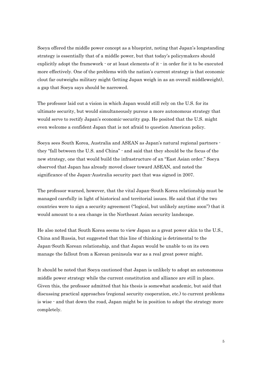Soeya offered the middle power concept as a blueprint, noting that Japan's longstanding strategy is essentially that of a middle power, but that today's policymakers should explicitly adopt the framework  $\cdot$  or at least elements of it  $\cdot$  in order for it to be executed more effectively. One of the problems with the nation's current strategy is that economic clout far outweighs military might (letting Japan weigh in as an overall middleweight), a gap that Soeya says should be narrowed.

The professor laid out a vision in which Japan would still rely on the U.S. for its ultimate security, but would simultaneously pursue a more autonomous strategy that would serve to rectify Japan's economic-security gap. He posited that the U.S. might even welcome a confident Japan that is not afraid to question American policy.

Soeya sees South Korea, Australia and ASEAN as Japan's natural regional partners they "fall between the U.S. and China" - and said that they should be the focus of the new strategy, one that would build the infrastructure of an "East Asian order." Soeya observed that Japan has already moved closer toward ASEAN, and noted the significance of the Japan-Australia security pact that was signed in 2007.

The professor warned, however, that the vital Japan-South Korea relationship must be managed carefully in light of historical and territorial issues. He said that if the two countries were to sign a security agreement ("logical, but unlikely anytime soon") that it would amount to a sea change in the Northeast Asian security landscape.

He also noted that South Korea seems to view Japan as a great power akin to the U.S., China and Russia, but suggested that this line of thinking is detrimental to the Japan-South Korean relationship, and that Japan would be unable to on its own manage the fallout from a Korean peninsula war as a real great power might.

It should be noted that Soeya cautioned that Japan is unlikely to adopt an autonomous middle power strategy while the current constitution and alliance are still in place. Given this, the professor admitted that his thesis is somewhat academic, but said that discussing practical approaches (regional security cooperation, etc.) to current problems is wise - and that down the road, Japan might be in position to adopt the strategy more completely.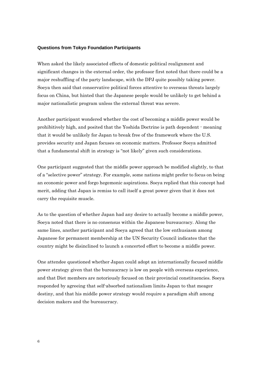#### **Questions from Tokyo Foundation Participants**

When asked the likely associated effects of domestic political realignment and significant changes in the external order, the professor first noted that there could be a major reshuffling of the party landscape, with the DPJ quite possibly taking power. Soeya then said that conservative political forces attentive to overseas threats largely focus on China, but hinted that the Japanese people would be unlikely to get behind a major nationalistic program unless the external threat was severe.

Another participant wondered whether the cost of becoming a middle power would be prohibitively high, and posited that the Yoshida Doctrine is path dependent - meaning that it would be unlikely for Japan to break free of the framework where the U.S. provides security and Japan focuses on economic matters. Professor Soeya admitted that a fundamental shift in strategy is "not likely" given such considerations.

One participant suggested that the middle power approach be modified slightly, to that of a "selective power" strategy. For example, some nations might prefer to focus on being an economic power and forgo hegemonic aspirations. Soeya replied that this concept had merit, adding that Japan is remiss to call itself a great power given that it does not carry the requisite muscle.

As to the question of whether Japan had any desire to actually become a middle power, Soeya noted that there is no consensus within the Japanese bureaucracy. Along the same lines, another participant and Soeya agreed that the low enthusiasm among Japanese for permanent membership at the UN Security Council indicates that the country might be disinclined to launch a concerted effort to become a middle power.

One attendee questioned whether Japan could adopt an internationally focused middle power strategy given that the bureaucracy is low on people with overseas experience, and that Diet members are notoriously focused on their provincial constituencies. Soeya responded by agreeing that self-absorbed nationalism limits Japan to that meager destiny, and that his middle power strategy would require a paradigm shift among decision makers and the bureaucracy.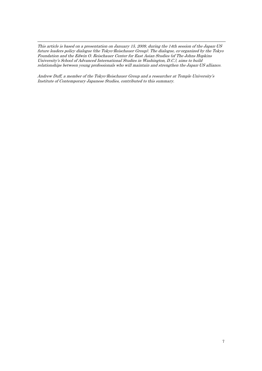This article is based on a presentation on January 15, 2009, during the 14th session of the Japan-US future leaders policy dialogue (the Tokyo-Reischauer Group). The dialogue, co-organized by the Tokyo Foundation and the Edwin O. Reischauer Center for East Asian Studies (of The Johns Hopkins University's School of Advanced International Studies in Washington, D.C.), aims to build relationships between young professionals who will maintain and strengthen the Japan-US alliance.

Andrew Duff, a member of the Tokyo-Reischauer Group and a researcher at Temple University's Institute of Contemporary Japanese Studies, contributed to this summary.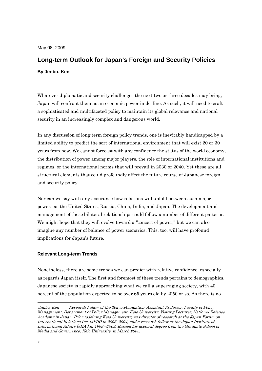May 08, 2009

# **Long-term Outlook for Japan's Foreign and Security Policies**

#### **By Jimbo, Ken**

Whatever diplomatic and security challenges the next two or three decades may bring, Japan will confront them as an economic power in decline. As such, it will need to craft a sophisticated and multifaceted policy to maintain its global relevance and national security in an increasingly complex and dangerous world.

In any discussion of long-term foreign policy trends, one is inevitably handicapped by a limited ability to predict the sort of international environment that will exist 20 or 30 years from now. We cannot forecast with any confidence the status of the world economy, the distribution of power among major players, the role of international institutions and regimes, or the international norms that will prevail in 2030 or 2040. Yet these are all structural elements that could profoundly affect the future course of Japanese foreign and security policy.

Nor can we say with any assurance how relations will unfold between such major powers as the United States, Russia, China, India, and Japan. The development and management of these bilateral relationships could follow a number of different patterns. We might hope that they will evolve toward a "concert of power," but we can also imagine any number of balance-of-power scenarios. This, too, will have profound implications for Japan's future.

#### **Relevant Long-term Trends**

Nonetheless, there are some trends we can predict with relative confidence, especially as regards Japan itself. The first and foremost of these trends pertains to demographics. Japanese society is rapidly approaching what we call a super-aging society, with 40 percent of the population expected to be over 65 years old by 2050 or so. As there is no

-

Jimbo, Ken Research Fellow of the Tokyo Foundation. Assistant Professor, Faculty of Policy Management, Department of Policy Management, Keio University. Visiting Lecturer, National Defense Academy in Japan. Prior to joining Keio University, was director of research at the Japan Forum on International Relations Inc. (JFIR) in 2003–2004, and a research fellow at the Japan Institute of International Affairs (JIIA ) in 1999 –2003. Earned his doctoral degree from the Graduate School of Media and Governance, Keio University, in March 2005.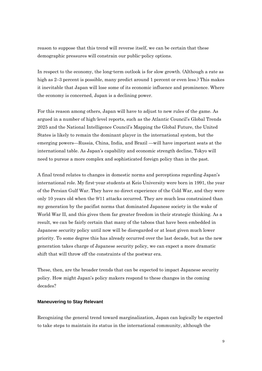reason to suppose that this trend will reverse itself, we can be certain that these demographic pressures will constrain our public-policy options.

In respect to the economy, the long-term outlook is for slow growth. (Although a rate as high as 2–3 percent is possible, many predict around 1 percent or even less.) This makes it inevitable that Japan will lose some of its economic influence and prominence. Where the economy is concerned, Japan is a declining power.

For this reason among others, Japan will have to adjust to new rules of the game. As argued in a number of high-level reports, such as the Atlantic Council's Global Trends 2025 and the National Intelligence Council's Mapping the Global Future, the United States is likely to remain the dominant player in the international system, but the emerging powers—Russia, China, India, and Brazil —will have important seats at the international table. As Japan's capability and economic strength decline, Tokyo will need to pursue a more complex and sophisticated foreign policy than in the past.

A final trend relates to changes in domestic norms and perceptions regarding Japan's international role. My first-year students at Keio University were born in 1991, the year of the Persian Gulf War. They have no direct experience of the Cold War, and they were only 10 years old when the 9/11 attacks occurred. They are much less constrained than my generation by the pacifist norms that dominated Japanese society in the wake of World War II, and this gives them far greater freedom in their strategic thinking. As a result, we can be fairly certain that many of the taboos that have been embedded in Japanese security policy until now will be disregarded or at least given much lower priority. To some degree this has already occurred over the last decade, but as the new generation takes charge of Japanese security policy, we can expect a more dramatic shift that will throw off the constraints of the postwar era.

These, then, are the broader trends that can be expected to impact Japanese security policy. How might Japan's policy makers respond to these changes in the coming decades?

#### **Maneuvering to Stay Relevant**

Recognizing the general trend toward marginalization, Japan can logically be expected to take steps to maintain its status in the international community, although the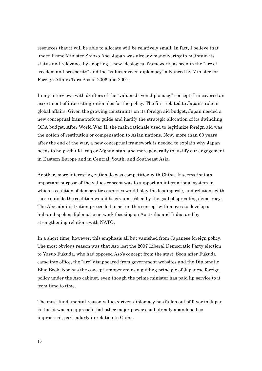resources that it will be able to allocate will be relatively small. In fact, I believe that under Prime Minister Shinzo Abe, Japan was already maneuvering to maintain its status and relevance by adopting a new ideological framework, as seen in the "arc of freedom and prosperity" and the "values-driven diplomacy" advanced by Minister for Foreign Affairs Taro Aso in 2006 and 2007.

In my interviews with drafters of the "values-driven diplomacy" concept, I uncovered an assortment of interesting rationales for the policy. The first related to Japan's role in global affairs. Given the growing constraints on its foreign aid budget, Japan needed a new conceptual framework to guide and justify the strategic allocation of its dwindling ODA budget. After World War II, the main rationale used to legitimize foreign aid was the notion of restitution or compensation to Asian nations. Now, more than 60 years after the end of the war, a new conceptual framework is needed to explain why Japan needs to help rebuild Iraq or Afghanistan, and more generally to justify our engagement in Eastern Europe and in Central, South, and Southeast Asia.

Another, more interesting rationale was competition with China. It seems that an important purpose of the values concept was to support an international system in which a coalition of democratic countries would play the leading role, and relations with those outside the coalition would be circumscribed by the goal of spreading democracy. The Abe administration proceeded to act on this concept with moves to develop a hub-and-spokes diplomatic network focusing on Australia and India, and by strengthening relations with NATO.

In a short time, however, this emphasis all but vanished from Japanese foreign policy. The most obvious reason was that Aso lost the 2007 Liberal Democratic Party election to Yasuo Fukuda, who had opposed Aso's concept from the start. Soon after Fukuda came into office, the "arc" disappeared from government websites and the Diplomatic Blue Book. Nor has the concept reappeared as a guiding principle of Japanese foreign policy under the Aso cabinet, even though the prime minister has paid lip service to it from time to time.

The most fundamental reason values-driven diplomacy has fallen out of favor in Japan is that it was an approach that other major powers had already abandoned as impractical, particularly in relation to China.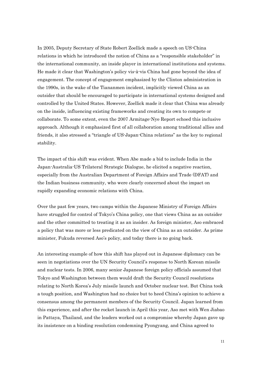In 2005, Deputy Secretary of State Robert Zoellick made a speech on US-China relations in which he introduced the notion of China as a "responsible stakeholder" in the international community, an inside player in international institutions and systems. He made it clear that Washington's policy vis-à-vis China had gone beyond the idea of engagement. The concept of engagement emphasized by the Clinton administration in the 1990s, in the wake of the Tiananmen incident, implicitly viewed China as an outsider that should be encouraged to participate in international systems designed and controlled by the United States. However, Zoellick made it clear that China was already on the inside, influencing existing frameworks and creating its own to compete or collaborate. To some extent, even the 2007 Armitage-Nye Report echoed this inclusive approach. Although it emphasized first of all collaboration among traditional allies and friends, it also stressed a "triangle of US-Japan-China relations" as the key to regional stability.

The impact of this shift was evident. When Abe made a bid to include India in the Japan-Australia-US Trilateral Strategic Dialogue, he elicited a negative reaction, especially from the Australian Department of Foreign Affairs and Trade (DFAT) and the Indian business community, who were clearly concerned about the impact on rapidly expanding economic relations with China.

Over the past few years, two camps within the Japanese Ministry of Foreign Affairs have struggled for control of Tokyo's China policy, one that views China as an outsider and the other committed to treating it as an insider. As foreign minister, Aso embraced a policy that was more or less predicated on the view of China as an outsider. As prime minister, Fukuda reversed Aso's policy, and today there is no going back.

An interesting example of how this shift has played out in Japanese diplomacy can be seen in negotiations over the UN Security Council's response to North Korean missile and nuclear tests. In 2006, many senior Japanese foreign policy officials assumed that Tokyo and Washington between them would draft the Security Council resolutions relating to North Korea's July missile launch and October nuclear test. But China took a tough position, and Washington had no choice but to heed China's opinion to achieve a consensus among the permanent members of the Security Council. Japan learned from this experience, and after the rocket launch in April this year, Aso met with Wen Jiabao in Pattaya, Thailand, and the leaders worked out a compromise whereby Japan gave up its insistence on a binding resolution condemning Pyongyang, and China agreed to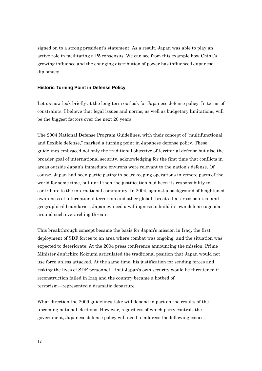signed on to a strong president's statement. As a result, Japan was able to play an active role in facilitating a P5 consensus. We can see from this example how China's growing influence and the changing distribution of power has influenced Japanese diplomacy.

#### **Historic Turning Point in Defense Policy**

Let us now look briefly at the long-term outlook for Japanese defense policy. In terms of constraints, I believe that legal issues and norms, as well as budgetary limitations, will be the biggest factors over the next 20 years.

The 2004 National Defense Program Guidelines, with their concept of "multifunctional and flexible defense," marked a turning point in Japanese defense policy. These guidelines embraced not only the traditional objective of territorial defense but also the broader goal of international security, acknowledging for the first time that conflicts in areas outside Japan's immediate environs were relevant to the nation's defense. Of course, Japan had been participating in peacekeeping operations in remote parts of the world for some time, but until then the justification had been its responsibility to contribute to the international community. In 2004, against a background of heightened awareness of international terrorism and other global threats that cross political and geographical boundaries, Japan evinced a willingness to build its own defense agenda around such overarching threats.

This breakthrough concept became the basis for Japan's mission in Iraq, the first deployment of SDF forces to an area where combat was ongoing, and the situation was expected to deteriorate. At the 2004 press conference announcing the mission, Prime Minister Jun'ichiro Koizumi articulated the traditional position that Japan would not use force unless attacked. At the same time, his justification for sending forces and risking the lives of SDF personnel—that Japan's own security would be threatened if reconstruction failed in Iraq and the country became a hotbed of terrorism—represented a dramatic departure.

What direction the 2009 guidelines take will depend in part on the results of the upcoming national elections. However, regardless of which party controls the government, Japanese defense policy will need to address the following issues.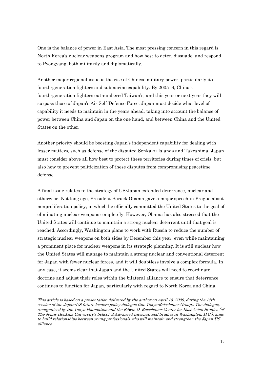One is the balance of power in East Asia. The most pressing concern in this regard is North Korea's nuclear weapons program and how best to deter, dissuade, and respond to Pyongyang, both militarily and diplomatically.

Another major regional issue is the rise of Chinese military power, particularly its fourth-generation fighters and submarine capability. By 2005–6, China's fourth-generation fighters outnumbered Taiwan's, and this year or next year they will surpass those of Japan's Air Self-Defense Force. Japan must decide what level of capability it needs to maintain in the years ahead, taking into account the balance of power between China and Japan on the one hand, and between China and the United States on the other.

Another priority should be boosting Japan's independent capability for dealing with lesser matters, such as defense of the disputed Senkaku Islands and Takeshima. Japan must consider above all how best to protect these territories during times of crisis, but also how to prevent politicization of these disputes from compromising peacetime defense.

A final issue relates to the strategy of US-Japan extended deterrence, nuclear and otherwise. Not long ago, President Barack Obama gave a major speech in Prague about nonproliferation policy, in which he officially committed the United States to the goal of eliminating nuclear weapons completely. However, Obama has also stressed that the United States will continue to maintain a strong nuclear deterrent until that goal is reached. Accordingly, Washington plans to work with Russia to reduce the number of strategic nuclear weapons on both sides by December this year, even while maintaining a prominent place for nuclear weapons in its strategic planning. It is still unclear how the United States will manage to maintain a strong nuclear and conventional deterrent for Japan with fewer nuclear forces, and it will doubtless involve a complex formula. In any case, it seems clear that Japan and the United States will need to coordinate doctrine and adjust their roles within the bilateral alliance to ensure that deterrence continues to function for Japan, particularly with regard to North Korea and China.

This article is based on a presentation delivered by the author on April 15, 2009, during the 17th session of the Japan-US future leaders policy dialogue (the Tokyo-Reischauer Group). The dialogue, co-organized by the Tokyo Foundation and the Edwin O. Reischauer Center for East Asian Studies (of The Johns Hopkins University's School of Advanced International Studies in Washington, D.C.), aims to build relationships between young professionals who will maintain and strengthen the Japan-US alliance.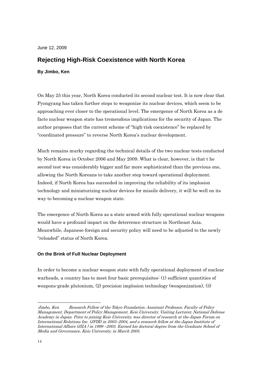June 12, 2009

## **Rejecting High-Risk Coexistence with North Korea**

**By Jimbo, Ken**

On May 25 this year, North Korea conducted its second nuclear test. It is now clear that Pyongyang has taken further steps to weaponize its nuclear devices, which seem to be approaching ever closer to the operational level. The emergence of North Korea as a de facto nuclear weapon state has tremendous implications for the security of Japan. The author proposes that the current scheme of "high-risk coexistence" be replaced by "coordinated pressure" to reverse North Korea's nuclear development.

Much remains murky regarding the technical details of the two nuclear tests conducted by North Korea in October 2006 and May 2009. What is clear, however, is that t he second test was considerably bigger and far more sophisticated than the previous one, allowing the North Koreans to take another step toward operational deployment. Indeed, if North Korea has succeeded in improving the reliability of its implosion technology and miniaturizing nuclear devices for missile delivery, it will be well on its way to becoming a nuclear weapon state.

The emergence of North Korea as a state armed with fully operational nuclear weapons would have a profound impact on the deterrence structure in Northeast Asia. Meanwhile, Japanese foreign and security policy will need to be adjusted to the newly "reloaded" status of North Korea.

#### **On the Brink of Full Nuclear Deployment**

In order to become a nuclear weapon state with fully operational deployment of nuclear warheads, a country has to meet four basic prerequisites: (1) sufficient quantities of weapons-grade plutonium, (2) precision implosion technology (weaponization), (3)

-

Jimbo, Ken Research Fellow of the Tokyo Foundation. Assistant Professor, Faculty of Policy Management, Department of Policy Management, Keio University. Visiting Lecturer, National Defense Academy in Japan. Prior to joining Keio University, was director of research at the Japan Forum on International Relations Inc. (JFIR) in 2003–2004, and a research fellow at the Japan Institute of International Affairs (JIIA ) in 1999 –2003. Earned his doctoral degree from the Graduate School of Media and Governance, Keio University, in March 2005.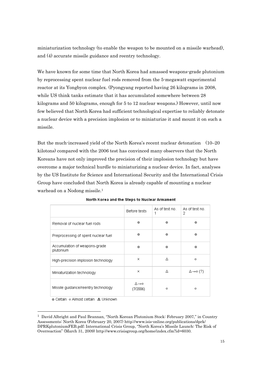miniaturization technology (to enable the weapon to be mounted on a missile warhead), and (4) accurate missile guidance and reentry technology.

We have known for some time that North Korea had amassed weapons-grade plutonium by reprocessing spent nuclear fuel rods removed from the 5-megawatt experimental reactor at its Yongbyon complex. (Pyongyang reported having 26 kilograms in 2008, while US think tanks estimate that it has accumulated somewhere between 28 kilograms and 50 kilograms, enough for 5 to 12 nuclear weapons.) However, until now few believed that North Korea had sufficient technological expertise to reliably detonate a nuclear device with a precision implosion or to miniaturize it and mount it on such a missile.

But the much-increased yield of the North Korea's recent nuclear detonation (10–20 kilotons) compared with the 2006 test has convinced many observers that the North Koreans have not only improved the precision of their implosion technology but have overcome a major technical hurdle to miniaturizing a nuclear device. In fact, analyses by the US Institute for Science and International Security and the International Crisis Group have concluded that North Korea is already capable of mounting a nuclear warhead on a Nodong missile.<sup>1</sup>

|                                            | Before tests    | As of test no. | As of test no.<br>2        |
|--------------------------------------------|-----------------|----------------|----------------------------|
| Removal of nuclear fuel rods               | ⊚               | ⊚              | ⊚                          |
| Preprocessing of spent nuclear fuel        | ⊚               | ◉              | ⊚                          |
| Accumulation of weapons-grade<br>plutonium | ⊚               | ⊚              | ⊚                          |
| High-precision implosion technology        | ×               | Δ              | $\circ$                    |
| Miniaturization technology                 | ×               | Δ              | $\Delta \rightarrow o$ (?) |
| Missile guidance/reentry technology        | ∆→∘<br>(7/2006) | о              | $\circ$                    |

|  |  |  |  |  |  |  | North Korea and the Steps to Nuclear Armament |
|--|--|--|--|--|--|--|-----------------------------------------------|
|--|--|--|--|--|--|--|-----------------------------------------------|

⊚ Certain o Almost certain A Unknown

-

<sup>1</sup> David Albright and Paul Brannan, "North Korean Plutonium Stock: February 2007," in Country Assessments: North Korea (February 20, 2007) http://www.isis-online.org/publications/dprk/ DPRKplutoniumFEB.pdf; International Crisis Group, "North Korea's Missile Launch: The Risk of Overreaction" (March 31, 2009) http://www.crisisgroup.org/home/index.cfm?id=6030.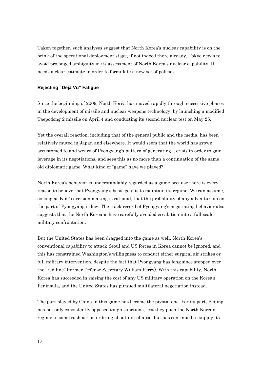Taken together, such analyses suggest that North Korea's nuclear capability is on the brink of the operational deployment stage, if not indeed there already. Tokyo needs to avoid prolonged ambiguity in its assessment of North Korea's nuclear capability. It needs a clear estimate in order to formulate a new set of policies.

#### **Rejecting "Déjà Vu" Fatigue**

Since the beginning of 2009, North Korea has moved rapidly through successive phases in the development of missile and nuclear weapons technology, by launching a modified Taepodong-2 missile on April 4 and conducting its second nuclear test on May 25.

Yet the overall reaction, including that of the general public and the media, has been relatively muted in Japan and elsewhere. It would seem that the world has grown accustomed to and weary of Pyongyang's pattern of generating a crisis in order to gain leverage in its negotiations, and sees this as no more than a continuation of the same old diplomatic game. What kind of "game" have we played?

North Korea's behavior is understandably regarded as a game because there is every reason to believe that Pyongyang's basic goal is to maintain its regime. We can assume, as long as Kim's decision making is rational, that the probability of any adventurism on the part of Pyongyang is low. The track record of Pyongyang's negotiating behavior also suggests that the North Koreans have carefully avoided escalation into a full-scale military confrontation.

But the United States has been dragged into the game as well. North Korea's conventional capability to attack Seoul and US forces in Korea cannot be ignored, and this has constrained Washington's willingness to conduct either surgical air strikes or full military intervention, despite the fact that Pyongyang has long since stepped over the "red line" (former Defense Secretary William Perry). With this capability, North Korea has succeeded in raising the cost of any US military operation on the Korean Peninsula, and the United States has pursued multilateral negotiation instead.

The part played by China in this game has become the pivotal one. For its part, Beijing has not only consistently opposed tough sanctions, lest they push the North Korean regime to some rash action or bring about its collapse, but has continued to supply its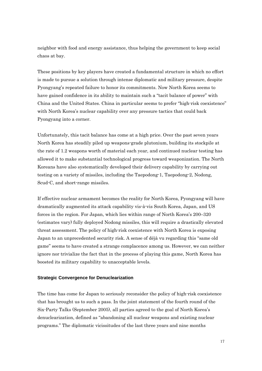neighbor with food and energy assistance, thus helping the government to keep social chaos at bay.

These positions by key players have created a fundamental structure in which no effort is made to pursue a solution through intense diplomatic and military pressure, despite Pyongyang's repeated failure to honor its commitments. Now North Korea seems to have gained confidence in its ability to maintain such a "tacit balance of power" with China and the United States. China in particular seems to prefer "high-risk coexistence" with North Korea's nuclear capability over any pressure tactics that could back Pyongyang into a corner.

Unfortunately, this tacit balance has come at a high price. Over the past seven years North Korea has steadily piled up weapons-grade plutonium, building its stockpile at the rate of 1.2 weapons worth of material each year, and continued nuclear testing has allowed it to make substantial technological progress toward weaponization. The North Koreans have also systematically developed their delivery capability by carrying out testing on a variety of missiles, including the Taepodong-1, Taepodong-2, Nodong, Scud-C, and short-range missiles.

If effective nuclear armament becomes the reality for North Korea, Pyongyang will have dramatically augmented its attack capability vis-à-vis South Korea, Japan, and US forces in the region. For Japan, which lies within range of North Korea's 200–320 (estimates vary) fully deployed Nodong missiles, this will require a drastically elevated threat assessment. The policy of high-risk coexistence with North Korea is exposing Japan to an unprecedented security risk. A sense of déjà vu regarding this "same old game" seems to have created a strange complacence among us. However, we can neither ignore nor trivialize the fact that in the process of playing this game, North Korea has boosted its military capability to unacceptable levels.

#### **Strategic Convergence for Denuclearization**

The time has come for Japan to seriously reconsider the policy of high-risk coexistence that has brought us to such a pass. In the joint statement of the fourth round of the Six-Party Talks (September 2005), all parties agreed to the goal of North Korea's denuclearization, defined as "abandoning all nuclear weapons and existing nuclear programs." The diplomatic vicissitudes of the last three years and nine months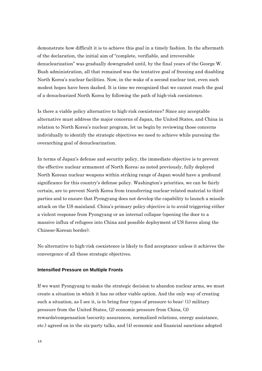demonstrate how difficult it is to achieve this goal in a timely fashion. In the aftermath of the declaration, the initial aim of "complete, verifiable, and irreversible denuclearization" was gradually downgraded until, by the final years of the George W. Bush administration, all that remained was the tentative goal of freezing and disabling North Korea's nuclear facilities. Now, in the wake of a second nuclear test, even such modest hopes have been dashed. It is time we recognized that we cannot reach the goal of a denuclearized North Korea by following the path of high-risk coexistence.

Is there a viable policy alternative to high-risk coexistence? Since any acceptable alternative must address the major concerns of Japan, the United States, and China in relation to North Korea's nuclear program, let us begin by reviewing those concerns individually to identify the strategic objectives we need to achieve while pursuing the overarching goal of denuclearization.

In terms of Japan's defense and security policy, the immediate objective is to prevent the effective nuclear armament of North Korea; as noted previously, fully deployed North Korean nuclear weapons within striking range of Japan would have a profound significance for this country's defense policy. Washington's priorities, we can be fairly certain, are to prevent North Korea from transferring nuclear-related material to third parties and to ensure that Pyongyang does not develop the capability to launch a missile attack on the US mainland. China's primary policy objective is to avoid triggering either a violent response from Pyongyang or an internal collapse (opening the door to a massive influx of refugees into China and possible deployment of US forces along the Chinese-Korean border).

No alternative to high-risk coexistence is likely to find acceptance unless it achieves the convergence of all these strategic objectives.

#### **Intensified Pressure on Multiple Fronts**

If we want Pyongyang to make the strategic decision to abandon nuclear arms, we must create a situation in which it has no other viable option. And the only way of creating such a situation, as I see it, is to bring four types of pressure to bear:  $(1)$  military pressure from the United States, (2) economic pressure from China, (3) rewards/compensation (security assurances, normalized relations, energy assistance, etc.) agreed on in the six-party talks, and (4) economic and financial sanctions adopted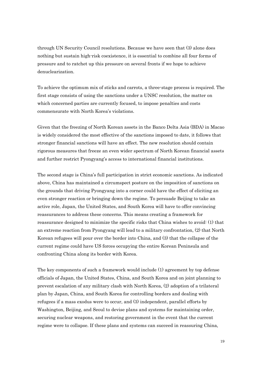through UN Security Council resolutions. Because we have seen that (3) alone does nothing but sustain high-risk coexistence, it is essential to combine all four forms of pressure and to ratchet up this pressure on several fronts if we hope to achieve denuclearization.

To achieve the optimum mix of sticks and carrots, a three-stage process is required. The first stage consists of using the sanctions under a UNSC resolution, the matter on which concerned parties are currently focused, to impose penalties and costs commensurate with North Korea's violations.

Given that the freezing of North Korean assets in the Banco Delta Asia (BDA) in Macao is widely considered the most effective of the sanctions imposed to date, it follows that stronger financial sanctions will have an effect. The new resolution should contain rigorous measures that freeze an even wider spectrum of North Korean financial assets and further restrict Pyongyang's access to international financial institutions.

The second stage is China's full participation in strict economic sanctions. As indicated above, China has maintained a circumspect posture on the imposition of sanctions on the grounds that driving Pyongyang into a corner could have the effect of eliciting an even stronger reaction or bringing down the regime. To persuade Beijing to take an active role, Japan, the United States, and South Korea will have to offer convincing reassurances to address these concerns. This means creating a framework for reassurance designed to minimize the specific risks that China wishes to avoid: (1) that an extreme reaction from Pyongyang will lead to a military confrontation, (2) that North Korean refugees will pour over the border into China, and (3) that the collapse of the current regime could have US forces occupying the entire Korean Peninsula and confronting China along its border with Korea.

The key components of such a framework would include (1) agreement by top defense officials of Japan, the United States, China, and South Korea and on joint planning to prevent escalation of any military clash with North Korea, (2) adoption of a trilateral plan by Japan, China, and South Korea for controlling borders and dealing with refugees if a mass exodus were to occur, and (3) independent, parallel efforts by Washington, Beijing, and Seoul to devise plans and systems for maintaining order, securing nuclear weapons, and restoring government in the event that the current regime were to collapse. If these plans and systems can succeed in reassuring China,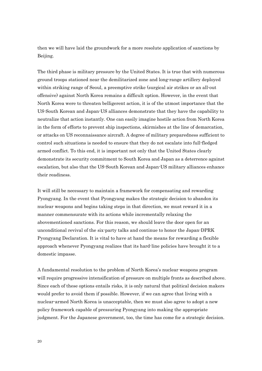then we will have laid the groundwork for a more resolute application of sanctions by Beijing.

The third phase is military pressure by the United States. It is true that with numerous ground troops stationed near the demilitarized zone and long-range artillery deployed within striking range of Seoul, a preemptive strike (surgical air strikes or an all-out offensive) against North Korea remains a difficult option. However, in the event that North Korea were to threaten belligerent action, it is of the utmost importance that the US-South Korean and Japan-US alliances demonstrate that they have the capability to neutralize that action instantly. One can easily imagine hostile action from North Korea in the form of efforts to prevent ship inspections, skirmishes at the line of demarcation, or attacks on US reconnaissance aircraft. A degree of military preparedness sufficient to control such situations is needed to ensure that they do not escalate into full-fledged armed conflict. To this end, it is important not only that the United States clearly demonstrate its security commitment to South Korea and Japan as a deterrence against escalation, but also that the US-South Korean and Japan-US military alliances enhance their readiness.

It will still be necessary to maintain a framework for compensating and rewarding Pyongyang. In the event that Pyongyang makes the strategic decision to abandon its nuclear weapons and begins taking steps in that direction, we must reward it in a manner commensurate with its actions while incrementally relaxing the abovementioned sanctions. For this reason, we should leave the door open for an unconditional revival of the six-party talks and continue to honor the Japan-DPRK Pyongyang Declaration. It is vital to have at hand the means for rewarding a flexible approach whenever Pyongyang realizes that its hard-line policies have brought it to a domestic impasse.

A fundamental resolution to the problem of North Korea's nuclear weapons program will require progressive intensification of pressure on multiple fronts as described above. Since each of these options entails risks, it is only natural that political decision makers would prefer to avoid them if possible. However, if we can agree that living with a nuclear-armed North Korea is unacceptable, then we must also agree to adopt a new policy framework capable of pressuring Pyongyang into making the appropriate judgment. For the Japanese government, too, the time has come for a strategic decision.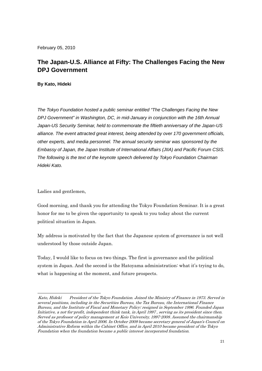February 05, 2010

## **The Japan-U.S. Alliance at Fifty: The Challenges Facing the New DPJ Government**

**By Kato, Hideki**

*The Tokyo Foundation hosted a public seminar entitled "The Challenges Facing the New DPJ Government" in Washington, DC, in mid-January in conjunction with the 16th Annual Japan-US Security Seminar, held to commemorate the fiftieth anniversary of the Japan-US alliance. The event attracted great interest, being attended by over 170 government officials, other experts, and media personnel. The annual security seminar was sponsored by the Embassy of Japan, the Japan Institute of International Affairs (JIIA) and Pacific Forum CSIS. The following is the text of the keynote speech delivered by Tokyo Foundation Chairman Hideki Kato.* 

Ladies and gentlemen,

-

Good morning, and thank you for attending the Tokyo Foundation Seminar. It is a great honor for me to be given the opportunity to speak to you today about the current political situation in Japan.

My address is motivated by the fact that the Japanese system of governance is not well understood by those outside Japan.

Today, I would like to focus on two things. The first is governance and the political system in Japan. And the second is the Hatoyama administration: what it's trying to do, what is happening at the moment, and future prospects.

Kato, Hideki President of the Tokyo Foundation. Joined the Ministry of Finance in 1973. Served in several positions, including in the Securities Bureau, the Tax Bureau, the International Finance Bureau, and the Institute of Fiscal and Monetary Policy; resigned in September 1996. Founded Japan Initiative, a not-for-profit, independent think tank, in April 1997 , serving as its president since then. Served as professor of policy management at Keio University, 1997-2008. Assumed the chairmanship of the Tokyo Foundation in April 2006. In October 2009 became secretary general of Japan's Council on Administrative Reform within the Cabinet Office, and in April 2010 became president of the Tokyo Foundation when the foundation became a public interest incorporated foundation.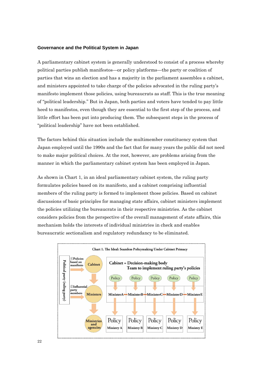#### **Governance and the Political System in Japan**

A parliamentary cabinet system is generally understood to consist of a process whereby political parties publish manifestos—or policy platforms—the party or coalition of parties that wins an election and has a majority in the parliament assembles a cabinet, and ministers appointed to take charge of the policies advocated in the ruling party's manifesto implement those policies, using bureaucrats as staff. This is the true meaning of "political leadership." But in Japan, both parties and voters have tended to pay little heed to manifestos, even though they are essential to the first step of the process, and little effort has been put into producing them. The subsequent steps in the process of "political leadership" have not been established.

The factors behind this situation include the multimember constituency system that Japan employed until the 1990s and the fact that for many years the public did not need to make major political choices. At the root, however, are problems arising from the manner in which the parliamentary cabinet system has been employed in Japan.

As shown in Chart 1, in an ideal parliamentary cabinet system, the ruling party formulates policies based on its manifesto, and a cabinet comprising influential members of the ruling party is formed to implement those policies. Based on cabinet discussions of basic principles for managing state affairs, cabinet ministers implement the policies utilizing the bureaucrats in their respective ministries. As the cabinet considers policies from the perspective of the overall management of state affairs, this mechanism holds the interests of individual ministries in check and enables bureaucratic sectionalism and regulatory redundancy to be eliminated.

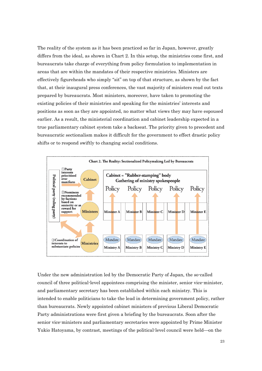The reality of the system as it has been practiced so far in Japan, however, greatly differs from the ideal, as shown in Chart 2. In this setup, the ministries come first, and bureaucrats take charge of everything from policy formulation to implementation in areas that are within the mandates of their respective ministries. Ministers are effectively figureheads who simply "sit" on top of that structure, as shown by the fact that, at their inaugural press conferences, the vast majority of ministers read out texts prepared by bureaucrats. Most ministers, moreover, have taken to promoting the existing policies of their ministries and speaking for the ministries' interests and positions as soon as they are appointed, no matter what views they may have espoused earlier. As a result, the ministerial coordination and cabinet leadership expected in a true parliamentary cabinet system take a backseat. The priority given to precedent and bureaucratic sectionalism makes it difficult for the government to effect drastic policy shifts or to respond swiftly to changing social conditions.



Under the new administration led by the Democratic Party of Japan, the so-called council of three political-level appointees comprising the minister, senior vice-minister, and parliamentary secretary has been established within each ministry. This is intended to enable politicians to take the lead in determining government policy, rather than bureaucrats. Newly appointed cabinet ministers of previous Liberal Democratic Party administrations were first given a briefing by the bureaucrats. Soon after the senior vice-ministers and parliamentary secretaries were appointed by Prime Minister Yukio Hatoyama, by contrast, meetings of the political-level council were held—on the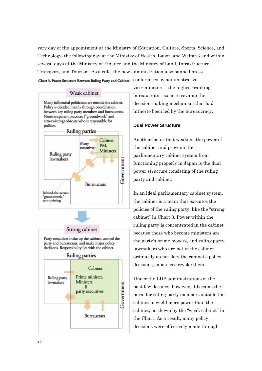very day of the appointment at the Ministry of Education, Culture, Sports, Science, and Technology; the following day at the Ministry of Health, Labor, and Welfare; and within several days at the Ministry of Finance and the Ministry of Land, Infrastructure, Transport, and Tourism. As a rule, the new administration also banned press Chart 3. Power Structure Between Ruling Party and Cabinet conferences by administrative

#### Weak cabinet

Many influential politicians are outside the cabinet. Policy is decided mainly through coordination between key ruling party members and bureaucrats. Nontransparent practices ("groundwork" and arm-twisting) obscure who is responsible for policies.





Strong cabinet

Party executives make up the cabinet, control the party and bureaucrats, and make major policy decisions. Responsibility lies with the cabinet.



vice-ministers—the highest-ranking bureaucrats—so as to revamp the decision-making mechanism that had hitherto been led by the bureaucracy.

#### **Dual Power Structure**

Another factor that weakens the power of the cabinet and prevents the parliamentary cabinet system from functioning properly in Japan is the dual power structure consisting of the ruling party and cabinet.

In an ideal parliamentary cabinet system, the cabinet is a team that executes the policies of the ruling party, like the "strong cabinet" in Chart 3. Power within the ruling party is concentrated in the cabinet because those who become ministers are the party's prime movers, and ruling party lawmakers who are not in the cabinet ordinarily do not defy the cabinet's policy decisions, much less revoke them.

Under the LDP administrations of the past few decades, however, it became the norm for ruling party members outside the cabinet to wield more power than the cabinet, as shown by the "weak cabinet" in the Chart. As a result, many policy decisions were effectively made through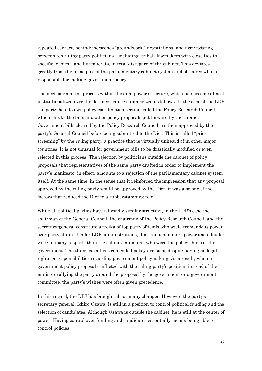repeated contact, behind-the-scenes "groundwork," negotiations, and arm-twisting between top ruling party politicians—including "tribal" lawmakers with close ties to specific lobbies—and bureaucrats, in total disregard of the cabinet. This deviates greatly from the principles of the parliamentary cabinet system and obscures who is responsible for making government policy.

The decision-making process within the dual power structure, which has become almost institutionalized over the decades, can be summarized as follows. In the case of the LDP, the party has its own policy coordination section called the Policy Research Council, which checks the bills and other policy proposals put forward by the cabinet. Government bills cleared by the Policy Research Council are then approved by the party's General Council before being submitted to the Diet. This is called "prior screening" by the ruling party, a practice that is virtually unheard of in other major countries. It is not unusual for government bills to be drastically modified or even rejected in this process. The rejection by politicians outside the cabinet of policy proposals that representatives of the same party drafted in order to implement the party's manifesto, in effect, amounts to a rejection of the parliamentary cabinet system itself. At the same time, in the sense that it reinforced the impression that any proposal approved by the ruling party would be approved by the Diet, it was also one of the factors that reduced the Diet to a rubberstamping role.

While all political parties have a broadly similar structure, in the LDP's case the chairman of the General Council, the chairman of the Policy Research Council, and the secretary-general constitute a troika of top party officials who wield tremendous power over party affairs. Under LDP administrations, this troika had more power and a louder voice in many respects than the cabinet ministers, who were the policy chiefs of the government. The three executives controlled policy decisions despite having no legal rights or responsibilities regarding government policymaking. As a result, when a government policy proposal conflicted with the ruling party's position, instead of the minister rallying the party around the proposal by the government or a government committee, the party's wishes were often given precedence.

In this regard, the DPJ has brought about many changes. However, the party's secretary general, Ichiro Ozawa, is still in a position to control political funding and the selection of candidates. Although Ozawa is outside the cabinet, he is still at the center of power. Having control over funding and candidates essentially means being able to control policies.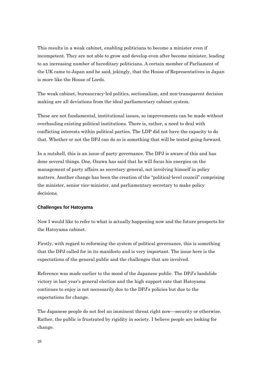This results in a weak cabinet, enabling politicians to become a minister even if incompetent. They are not able to grow and develop even after become minister, leading to an increasing number of hereditary politicians. A certain member of Parliament of the UK came to Japan and he said, jokingly, that the House of Representatives in Japan is more like the House of Lords.

The weak cabinet, bureaucracy-led politics, sectionalism, and non-transparent decision making are all deviations from the ideal parliamentary cabinet system.

These are not fundamental, institutional issues, so improvements can be made without overhauling existing political institutions. There is, rather, a need to deal with conflicting interests within political parties. The LDP did not have the capacity to do that. Whether or not the DPJ can do so is something that will be tested going forward.

In a nutshell, this is an issue of party governance. The DPJ is aware of this and has done several things. One, Ozawa has said that he will focus his energies on the management of party affairs as secretary general, not involving himself in policy matters. Another change has been the creation of the "political-level council" comprising the minister, senior vice-minister, and parliamentary secretary to make policy decisions.

#### **Challenges for Hatoyama**

Now I would like to refer to what is actually happening now and the future prospects for the Hatoyama cabinet.

Firstly, with regard to reforming the system of political governance, this is something that the DPJ called for in its manifesto and is very important. The issue here is the expectations of the general public and the challenges that are involved.

Reference was made earlier to the mood of the Japanese public. The DPJ's landslide victory in last year's general election and the high support rate that Hatoyama continues to enjoy is not necessarily due to the DPJ's policies but due to the expectations for change.

The Japanese people do not feel an imminent threat right now—security or otherwise. Rather, the public is frustrated by rigidity in society. I believe people are looking for change.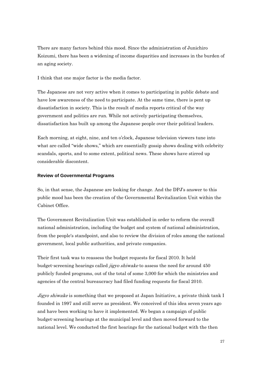There are many factors behind this mood. Since the administration of Junichiro Koizumi, there has been a widening of income disparities and increases in the burden of an aging society.

I think that one major factor is the media factor.

The Japanese are not very active when it comes to participating in public debate and have low awareness of the need to participate. At the same time, there is pent up dissatisfaction in society. This is the result of media reports critical of the way government and politics are run. While not actively participating themselves, dissatisfaction has built up among the Japanese people over their political leaders.

Each morning, at eight, nine, and ten o'clock, Japanese television viewers tune into what are called "wide shows," which are essentially gossip shows dealing with celebrity scandals, sports, and to some extent, political news. These shows have stirred up considerable discontent.

#### **Review of Governmental Programs**

So, in that sense, the Japanese are looking for change. And the DPJ's answer to this public mood has been the creation of the Governmental Revitalization Unit within the Cabinet Office.

The Government Revitalization Unit was established in order to reform the overall national administration, including the budget and system of national administration, from the people's standpoint, and also to review the division of roles among the national government, local public authorities, and private companies.

Their first task was to reassess the budget requests for fiscal 2010. It held budget-screening hearings called *jigyo shiwake* to assess the need for around 450 publicly funded programs, out of the total of some 3,000 for which the ministries and agencies of the central bureaucracy had filed funding requests for fiscal 2010.

Jigyo shiwake is something that we proposed at Japan Initiative, a private think tank I founded in 1997 and still serve as president. We conceived of this idea seven years ago and have been working to have it implemented. We began a campaign of public budget-screening hearings at the municipal level and then moved forward to the national level. We conducted the first hearings for the national budget with the then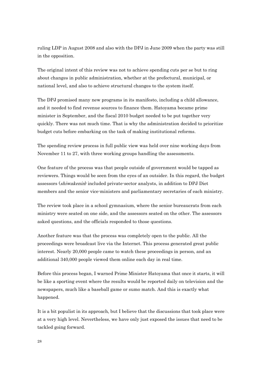ruling LDP in August 2008 and also with the DPJ in June 2009 when the party was still in the opposition.

The original intent of this review was not to achieve spending cuts per se but to ring about changes in public administration, whether at the prefectural, municipal, or national level, and also to achieve structural changes to the system itself.

The DPJ promised many new programs in its manifesto, including a child allowance, and it needed to find revenue sources to finance them. Hatoyama became prime minister in September, and the fiscal 2010 budget needed to be put together very quickly. There was not much time. That is why the administration decided to prioritize budget cuts before embarking on the task of making institutional reforms.

The spending review process in full public view was held over nine working days from November 11 to 27, with three working groups handling the assessments.

One feature of the process was that people outside of government would be tapped as reviewers. Things would be seen from the eyes of an outsider. In this regard, the budget assessors (shiwakenin) included private-sector analysts, in addition to DPJ Diet members and the senior vice-ministers and parliamentary secretaries of each ministry.

The review took place in a school gymnasium, where the senior bureaucrats from each ministry were seated on one side, and the assessors seated on the other. The assessors asked questions, and the officials responded to those questions.

Another feature was that the process was completely open to the public. All the proceedings were broadcast live via the Internet. This process generated great public interest. Nearly 20,000 people came to watch these proceedings in person, and an additional 340,000 people viewed them online each day in real time.

Before this process began, I warned Prime Minister Hatoyama that once it starts, it will be like a sporting event where the results would be reported daily on television and the newspapers, much like a baseball game or sumo match. And this is exactly what happened.

It is a bit populist in its approach, but I believe that the discussions that took place were at a very high level. Nevertheless, we have only just exposed the issues that need to be tackled going forward.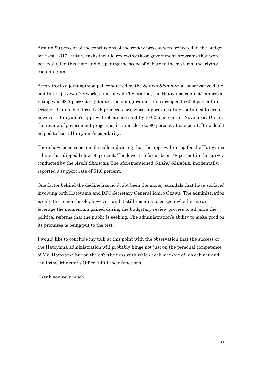Around 90 percent of the conclusions of the review process were reflected in the budget for fiscal 2010. Future tasks include reviewing those government programs that were not evaluated this time and deepening the scope of debate to the systems underlying each program.

According to a joint opinion poll conducted by the Sankei Shimbun, a conservative daily, and the Fuji News Network, a nationwide TV station, the Hatoyama cabinet's approval rating was 68.7 percent right after the inauguration, then dropped to 60.9 percent in October. Unlike his three LDP predecessors, whose approval rating continued to drop, however, Hatoyama's approval rebounded slightly to 62.5 percent in November. During the review of government programs, it came close to 90 percent at one point. It no doubt helped to boost Hatoyama's popularity.

There have been some media polls indicating that the approval rating for the Hatoyama cabinet has dipped below 50 percent. The lowest so far as been 48 percent in the survey conducted by the Asahi Shimbun. The aforementioned Sankei Shimbun, incidentally, reported a support rate of 51.0 percent.

One factor behind the decline has no doubt been the money scandals that have surfaced involving both Hatoyama and DPJ Secretary General Ichiro Ozawa. The administration is only three months old, however, and it still remains to be seen whether it can leverage the momentum gained during the budgetary review process to advance the political reforms that the public is seeking. The administration's ability to make good on its promises is being put to the test.

I would like to conclude my talk at this point with the observation that the success of the Hatoyama administration will probably hinge not just on the personal competence of Mr. Hatoyama but on the effectiveness with which each member of his cabinet and the Prime Minister's Office fulfill their functions.

Thank you very much.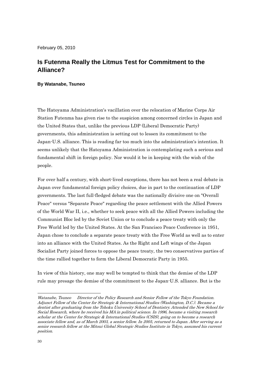February 05, 2010

## **Is Futenma Really the Litmus Test for Commitment to the Alliance?**

#### **By Watanabe, Tsuneo**

The Hatoyama Administration's vacillation over the relocation of Marine Corps Air Station Futenma has given rise to the suspicion among concerned circles in Japan and the United States that, unlike the previous LDP (Liberal Democratic Party) governments, this administration is setting out to lessen its commitment to the Japan-U.S. alliance. This is reading far too much into the administration's intention. It seems unlikely that the Hatoyama Administration is contemplating such a serious and fundamental shift in foreign policy. Nor would it be in keeping with the wish of the people.

For over half a century, with short-lived exceptions, there has not been a real debate in Japan over fundamental foreign policy choices, due in part to the continuation of LDP governments. The last full-fledged debate was the nationally divisive one on "Overall Peace" versus "Separate Peace" regarding the peace settlement with the Allied Powers of the World War II, i.e., whether to seek peace with all the Allied Powers including the Communist Bloc led by the Soviet Union or to conclude a peace treaty with only the Free World led by the United States. At the San Francisco Peace Conference in 1951, Japan chose to conclude a separate peace treaty with the Free World as well as to enter into an alliance with the United States. As the Right and Left wings of the Japan Socialist Party joined forces to oppose the peace treaty, the two conservatives parties of the time rallied together to form the Liberal Democratic Party in 1955.

In view of this history, one may well be tempted to think that the demise of the LDP rule may presage the demise of the commitment to the Japan-U.S. alliance. But is the

-

Watanabe, Tsuneo Director of the Policy Research and Senior Fellow of the Tokyo Foundation. Adjunct Fellow of the Center for Strategic & International Studies (Washington, D.C.). Became a dentist after graduating from the Tohoku University School of Dentistry. Attended the New School for Social Research, where he received his MA in political science. In 1996, became a visiting research scholar at the Center for Strategic & International Studies (CSIS), going on to become a research associate fellow and, as of March 2003, a senior fellow. In 2005, returned to Japan. After serving as a senior research fellow at the Mitsui Global Strategic Studies Institute in Tokyo, assumed his current position.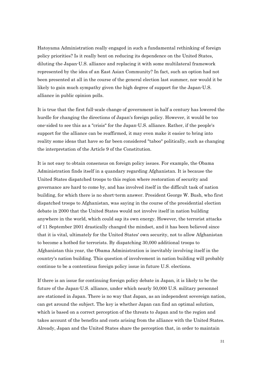Hatoyama Administration really engaged in such a fundamental rethinking of foreign policy priorities? Is it really bent on reducing its dependence on the United States, diluting the Japan-U.S. alliance and replacing it with some multilateral framework represented by the idea of an East Asian Community? In fact, such an option had not been presented at all in the course of the general election last summer, nor would it be likely to gain much sympathy given the high degree of support for the Japan-U.S. alliance in public opinion polls.

It is true that the first full-scale change of government in half a century has lowered the hurdle for changing the directions of Japan's foreign policy. However, it would be too one-sided to see this as a "crisis" for the Japan-U.S. alliance. Rather, if the people's support for the alliance can be reaffirmed, it may even make it easier to bring into reality some ideas that have so far been considered "taboo" politically, such as changing the interpretation of the Article 9 of the Constitution.

It is not easy to obtain consensus on foreign policy issues. For example, the Obama Administration finds itself in a quandary regarding Afghanistan. It is because the United States dispatched troops to this region where restoration of security and governance are hard to come by, and has involved itself in the difficult task of nation building, for which there is no short-term answer. President George W. Bush, who first dispatched troops to Afghanistan, was saying in the course of the presidential election debate in 2000 that the United States would not involve itself in nation building anywhere in the world, which could sap its own energy. However, the terrorist attacks of 11 September 2001 drastically changed the mindset, and it has been believed since that it is vital, ultimately for the United States' own security, not to allow Afghanistan to become a hotbed for terrorists. By dispatching 30,000 additional troops to Afghanistan this year, the Obama Administration is inevitably involving itself in the country's nation building. This question of involvement in nation building will probably continue to be a contentious foreign policy issue in future U.S. elections.

If there is an issue for continuing foreign policy debate in Japan, it is likely to be the future of the Japan-U.S. alliance, under which nearly 50,000 U.S. military personnel are stationed in Japan. There is no way that Japan, as an independent sovereign nation, can get around the subject. The key is whether Japan can find an optimal solution, which is based on a correct perception of the threats to Japan and to the region and takes account of the benefits and costs arising from the alliance with the United States. Already, Japan and the United States share the perception that, in order to maintain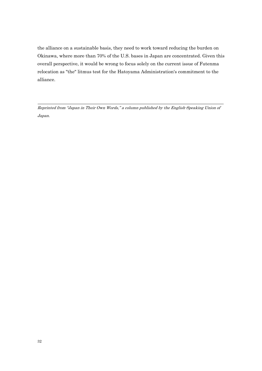the alliance on a sustainable basis, they need to work toward reducing the burden on Okinawa, where more than 70% of the U.S. bases in Japan are concentrated. Given this overall perspective, it would be wrong to focus solely on the current issue of Futenma relocation as "the" litmus test for the Hatoyama Administration's commitment to the alliance.

Reprinted from "Japan in Their Own Words," a column published by the English-Speaking Union of Japan.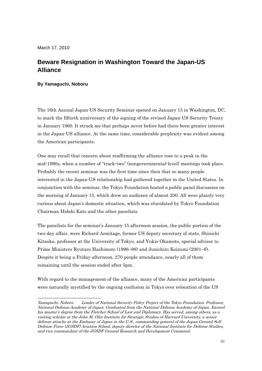March 17, 2010

-

# **Beware Resignation in Washington Toward the Japan-US Alliance**

#### **By Yamaguchi, Noboru**

The 16th Annual Japan-US Security Seminar opened on January 15 in Washington, DC, to mark the fiftieth anniversary of the signing of the revised Japan-US Security Treaty in January 1960. It struck me that perhaps never before had there been greater interest in the Japan-US alliance. At the same time, considerable perplexity was evident among the American participants.

One may recall that concern about reaffirming the alliance rose to a peak in the mid-1990s, when a number of "track-two" (nongovernmental-level) meetings took place. Probably the recent seminar was the first time since then that so many people interested in the Japan-US relationship had gathered together in the United States. In conjunction with the seminar, the Tokyo Foundation hosted a public panel discussion on the morning of January 15, which drew an audience of almost 200. All were plainly very curious about Japan's domestic situation, which was elucidated by Tokyo Foundation Chairman Hideki Kato and the other panelists.

The panelists for the seminar's January 15 afternoon session, the public portion of the two-day affair, were Richard Armitage, former US deputy secretary of state, Shinichi Kitaoka, professor at the University of Tokyo, and Yukio Okamoto, special advisor to Prime Ministers Ryutaro Hashimoto (1996–98) and Junichiro Koizumi (2001–6). Despite it being a Friday afternoon, 270 people attendance, nearly all of them remaining until the session ended after 5pm.

With regard to the management of the alliance, many of the American participants were naturally mystified by the ongoing confusion in Tokyo over relocation of the US

Yamaguchi, Noboru Leader of National Security Policy Project of the Tokyo Foundation. Professor, National Defense Academy of Japan. Graduated from the National Defense Academy of Japan. Earned his master's degree from the Fletcher School of Law and Diplomacy. Has served, among others, as a visiting scholar at the John M. Olin Institute for Strategic Studies of Harvard University, a senior defense attache at the Embassy of Japan in the U.S., commanding general of the Japan Ground Self Defense Force (JGSDF) Aviation School, deputy director of the National Institute for Defense Studies, and vice commandant of the JGSDF Ground Research and Development Command.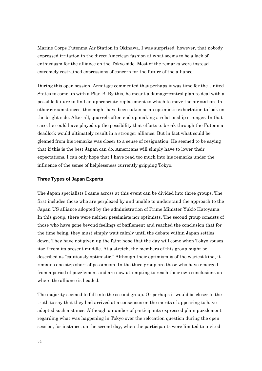Marine Corps Futenma Air Station in Okinawa. I was surprised, however, that nobody expressed irritation in the direct American fashion at what seems to be a lack of enthusiasm for the alliance on the Tokyo side. Most of the remarks were instead extremely restrained expressions of concern for the future of the alliance.

During this open session, Armitage commented that perhaps it was time for the United States to come up with a Plan B. By this, he meant a damage-control plan to deal with a possible failure to find an appropriate replacement to which to move the air station. In other circumstances, this might have been taken as an optimistic exhortation to look on the bright side. After all, quarrels often end up making a relationship stronger. In that case, he could have played up the possibility that efforts to break through the Futenma deadlock would ultimately result in a stronger alliance. But in fact what could be gleaned from his remarks was closer to a sense of resignation. He seemed to be saying that if this is the best Japan can do, Americans will simply have to lower their expectations. I can only hope that I have read too much into his remarks under the influence of the sense of helplessness currently gripping Tokyo.

#### **Three Types of Japan Experts**

The Japan specialists I came across at this event can be divided into three groups. The first includes those who are perplexed by and unable to understand the approach to the Japan-US alliance adopted by the administration of Prime Minister Yukio Hatoyama. In this group, there were neither pessimists nor optimists. The second group consists of those who have gone beyond feelings of bafflement and reached the conclusion that for the time being, they must simply wait calmly until the debate within Japan settles down. They have not given up the faint hope that the day will come when Tokyo rouses itself from its present muddle. At a stretch, the members of this group might be described as "cautiously optimistic." Although their optimism is of the wariest kind, it remains one step short of pessimism. In the third group are those who have emerged from a period of puzzlement and are now attempting to reach their own conclusions on where the alliance is headed.

The majority seemed to fall into the second group. Or perhaps it would be closer to the truth to say that they had arrived at a consensus on the merits of appearing to have adopted such a stance. Although a number of participants expressed plain puzzlement regarding what was happening in Tokyo over the relocation question during the open session, for instance, on the second day, when the participants were limited to invited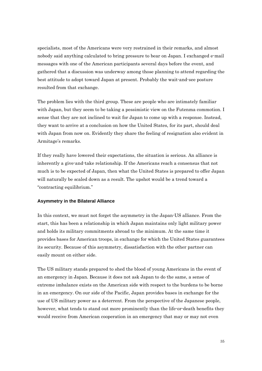specialists, most of the Americans were very restrained in their remarks, and almost nobody said anything calculated to bring pressure to bear on Japan. I exchanged e-mail messages with one of the American participants several days before the event, and gathered that a discussion was underway among those planning to attend regarding the best attitude to adopt toward Japan at present. Probably the wait-and-see posture resulted from that exchange.

The problem lies with the third group. These are people who are intimately familiar with Japan, but they seem to be taking a pessimistic view on the Futenma commotion. I sense that they are not inclined to wait for Japan to come up with a response. Instead, they want to arrive at a conclusion on how the United States, for its part, should deal with Japan from now on. Evidently they share the feeling of resignation also evident in Armitage's remarks.

If they really have lowered their expectations, the situation is serious. An alliance is inherently a give-and-take relationship. If the Americans reach a consensus that not much is to be expected of Japan, then what the United States is prepared to offer Japan will naturally be scaled down as a result. The upshot would be a trend toward a "contracting equilibrium."

#### **Asymmetry in the Bilateral Alliance**

In this context, we must not forget the asymmetry in the Japan-US alliance. From the start, this has been a relationship in which Japan maintains only light military power and holds its military commitments abroad to the minimum. At the same time it provides bases for American troops, in exchange for which the United States guarantees its security. Because of this asymmetry, dissatisfaction with the other partner can easily mount on either side.

The US military stands prepared to shed the blood of young Americans in the event of an emergency in Japan. Because it does not ask Japan to do the same, a sense of extreme imbalance exists on the American side with respect to the burdens to be borne in an emergency. On our side of the Pacific, Japan provides bases in exchange for the use of US military power as a deterrent. From the perspective of the Japanese people, however, what tends to stand out more prominently than the life-or-death benefits they would receive from American cooperation in an emergency that may or may not even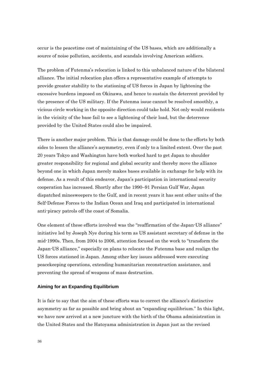occur is the peacetime cost of maintaining of the US bases, which are additionally a source of noise pollution, accidents, and scandals involving American soldiers.

The problem of Futenma's relocation is linked to this unbalanced nature of the bilateral alliance. The initial relocation plan offers a representative example of attempts to provide greater stability to the stationing of US forces in Japan by lightening the excessive burdens imposed on Okinawa, and hence to sustain the deterrent provided by the presence of the US military. If the Futenma issue cannot be resolved smoothly, a vicious circle working in the opposite direction could take hold. Not only would residents in the vicinity of the base fail to see a lightening of their load, but the deterrence provided by the United States could also be impaired.

There is another major problem. This is that damage could be done to the efforts by both sides to lessen the alliance's asymmetry, even if only to a limited extent. Over the past 20 years Tokyo and Washington have both worked hard to get Japan to shoulder greater responsibility for regional and global security and thereby move the alliance beyond one in which Japan merely makes bases available in exchange for help with its defense. As a result of this endeavor, Japan's participation in international security cooperation has increased. Shortly after the 1990–91 Persian Gulf War, Japan dispatched minesweepers to the Gulf, and in recent years it has sent other units of the Self-Defense Forces to the Indian Ocean and Iraq and participated in international anti-piracy patrols off the coast of Somalia.

One element of these efforts involved was the "reaffirmation of the Japan-US alliance" initiative led by Joseph Nye during his term as US assistant secretary of defense in the mid-1990s. Then, from 2004 to 2006, attention focused on the work to "transform the Japan-US alliance," especially on plans to relocate the Futenma base and realign the US forces stationed in Japan. Among other key issues addressed were executing peacekeeping operations, extending humanitarian reconstruction assistance, and preventing the spread of weapons of mass destruction.

#### **Aiming for an Expanding Equilibrium**

It is fair to say that the aim of these efforts was to correct the alliance's distinctive asymmetry as far as possible and bring about an "expanding equilibrium." In this light, we have now arrived at a new juncture with the birth of the Obama administration in the United States and the Hatoyama administration in Japan just as the revised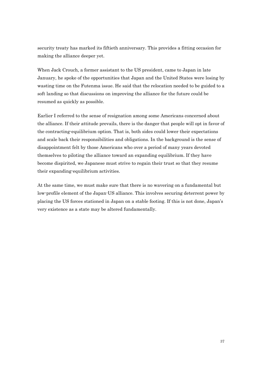security treaty has marked its fiftieth anniversary. This provides a fitting occasion for making the alliance deeper yet.

When Jack Crouch, a former assistant to the US president, came to Japan in late January, he spoke of the opportunities that Japan and the United States were losing by wasting time on the Futenma issue. He said that the relocation needed to be guided to a soft landing so that discussions on improving the alliance for the future could be resumed as quickly as possible.

Earlier I referred to the sense of resignation among some Americans concerned about the alliance. If their attitude prevails, there is the danger that people will opt in favor of the contracting-equilibrium option. That is, both sides could lower their expectations and scale back their responsibilities and obligations. In the background is the sense of disappointment felt by those Americans who over a period of many years devoted themselves to piloting the alliance toward an expanding equilibrium. If they have become dispirited, we Japanese must strive to regain their trust so that they resume their expanding-equilibrium activities.

At the same time, we must make sure that there is no wavering on a fundamental but low-profile element of the Japan-US alliance. This involves securing deterrent power by placing the US forces stationed in Japan on a stable footing. If this is not done, Japan's very existence as a state may be altered fundamentally.